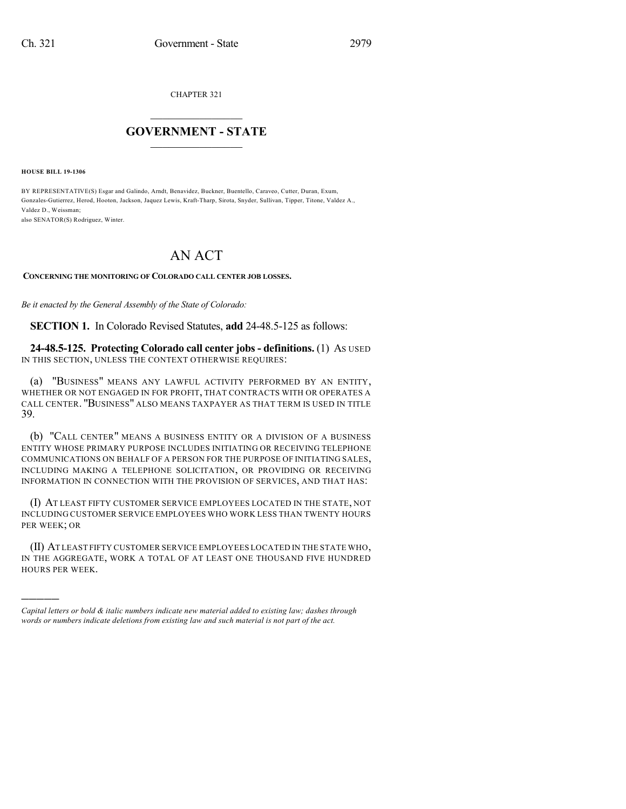CHAPTER 321

## $\mathcal{L}_\text{max}$  . The set of the set of the set of the set of the set of the set of the set of the set of the set of the set of the set of the set of the set of the set of the set of the set of the set of the set of the set **GOVERNMENT - STATE**  $\_$   $\_$

**HOUSE BILL 19-1306**

)))))

BY REPRESENTATIVE(S) Esgar and Galindo, Arndt, Benavidez, Buckner, Buentello, Caraveo, Cutter, Duran, Exum, Gonzales-Gutierrez, Herod, Hooton, Jackson, Jaquez Lewis, Kraft-Tharp, Sirota, Snyder, Sullivan, Tipper, Titone, Valdez A., Valdez D., Weissman; also SENATOR(S) Rodriguez, Winter.

## AN ACT

## **CONCERNING THE MONITORING OF COLORADO CALL CENTER JOB LOSSES.**

*Be it enacted by the General Assembly of the State of Colorado:*

**SECTION 1.** In Colorado Revised Statutes, **add** 24-48.5-125 as follows:

**24-48.5-125. Protecting Colorado call center jobs - definitions.** (1) AS USED IN THIS SECTION, UNLESS THE CONTEXT OTHERWISE REQUIRES:

(a) "BUSINESS" MEANS ANY LAWFUL ACTIVITY PERFORMED BY AN ENTITY, WHETHER OR NOT ENGAGED IN FOR PROFIT, THAT CONTRACTS WITH OR OPERATES A CALL CENTER. "BUSINESS" ALSO MEANS TAXPAYER AS THAT TERM IS USED IN TITLE 39.

(b) "CALL CENTER" MEANS A BUSINESS ENTITY OR A DIVISION OF A BUSINESS ENTITY WHOSE PRIMARY PURPOSE INCLUDES INITIATING OR RECEIVING TELEPHONE COMMUNICATIONS ON BEHALF OF A PERSON FOR THE PURPOSE OF INITIATING SALES, INCLUDING MAKING A TELEPHONE SOLICITATION, OR PROVIDING OR RECEIVING INFORMATION IN CONNECTION WITH THE PROVISION OF SERVICES, AND THAT HAS:

(I) AT LEAST FIFTY CUSTOMER SERVICE EMPLOYEES LOCATED IN THE STATE, NOT INCLUDING CUSTOMER SERVICE EMPLOYEES WHO WORK LESS THAN TWENTY HOURS PER WEEK; OR

(II) AT LEAST FIFTY CUSTOMER SERVICE EMPLOYEES LOCATED IN THE STATE WHO, IN THE AGGREGATE, WORK A TOTAL OF AT LEAST ONE THOUSAND FIVE HUNDRED HOURS PER WEEK.

*Capital letters or bold & italic numbers indicate new material added to existing law; dashes through words or numbers indicate deletions from existing law and such material is not part of the act.*